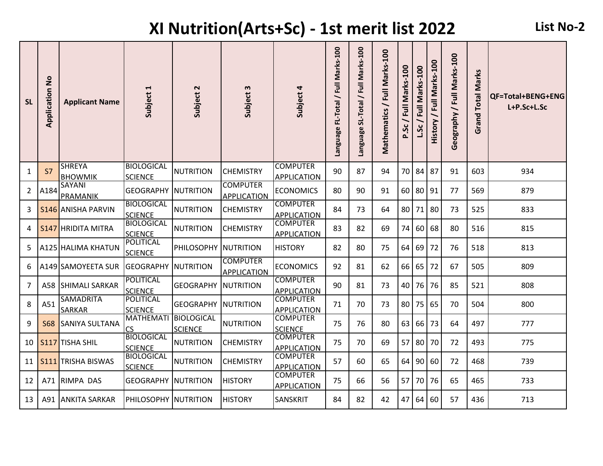## **XI Nutrition(Arts+Sc) - 1st merit list 2022 List No-2**

| <b>SL</b> | $\frac{1}{2}$<br>Application | <b>Applicant Name</b>             | $\blacktriangleleft$<br>Subject     | $\sim$<br>Subject                   | $\boldsymbol{\omega}$<br>Subject      | Subject 4                             | FL-Total / Full Marks-100<br>Language | / Full Marks-100<br>SL-Total<br><b>Language</b> | Full Marks-100<br>Mathematics / | / Full Marks-100<br>p.Sc | L.Sc / Full Marks-100 | History / Full Marks-100 | eography / Full Marks-100<br>Õ | <b>Total Marks</b><br>Grand | QF=Total+BENG+ENG<br>L+P.Sc+L.Sc |
|-----------|------------------------------|-----------------------------------|-------------------------------------|-------------------------------------|---------------------------------------|---------------------------------------|---------------------------------------|-------------------------------------------------|---------------------------------|--------------------------|-----------------------|--------------------------|--------------------------------|-----------------------------|----------------------------------|
| 1         | S7                           | <b>SHREYA</b><br><b>BHOWMIK</b>   | <b>BIOLOGICAL</b><br><b>SCIENCE</b> | <b>NUTRITION</b>                    | <b>CHEMISTRY</b>                      | <b>COMPUTER</b><br><b>APPLICATION</b> | 90                                    | 87                                              | 94                              | 70                       | 84                    | 87                       | 91                             | 603                         | 934                              |
| 2         | A184                         | <b>SAYANI</b><br>PRAMANIK         | <b>GEOGRAPHY</b>                    | <b>INUTRITION</b>                   | <b>COMPUTER</b><br><b>APPLICATION</b> | <b>ECONOMICS</b>                      | 80                                    | 90                                              | 91                              | 60 <sup>1</sup>          | 80                    | 91                       | 77                             | 569                         | 879                              |
| 3         |                              | <b>S146 JANISHA PARVIN</b>        | <b>BIOLOGICAL</b><br><b>SCIENCE</b> | <b>NUTRITION</b>                    | <b>CHEMISTRY</b>                      | <b>COMPUTER</b><br><b>APPLICATION</b> | 84                                    | 73                                              | 64                              |                          | 80 71                 | 80                       | 73                             | 525                         | 833                              |
| 4         |                              | <b>S147 HRIDITA MITRA</b>         | <b>BIOLOGICAL</b><br><b>SCIENCE</b> | <b>NUTRITION</b>                    | <b>CHEMISTRY</b>                      | <b>COMPUTER</b><br><b>APPLICATION</b> | 83                                    | 82                                              | 69                              | 74                       | 60                    | 68                       | 80                             | 516                         | 815                              |
| 5         |                              | A125 HALIMA KHATUN                | POLITICAL<br><b>SCIENCE</b>         | PHILOSOPHY                          | NUTRITION                             | <b>HISTORY</b>                        | 82                                    | 80                                              | 75                              | 64                       | $69$ 72               |                          | 76                             | 518                         | 813                              |
| 6         |                              | A149 SAMOYEETA SUR                | <b>GEOGRAPHY NUTRITION</b>          |                                     | <b>COMPUTER</b><br><b>APPLICATION</b> | <b>ECONOMICS</b>                      | 92                                    | 81                                              | 62                              |                          | 66 65                 | 72                       | 67                             | 505                         | 809                              |
| 7         | A58                          | <b>SHIMALI SARKAR</b>             | <b>POLITICAL</b><br><b>SCIENCE</b>  | <b>GEOGRAPHY</b>                    | <b>NUTRITION</b>                      | <b>COMPUTER</b><br><b>APPLICATION</b> | 90                                    | 81                                              | 73                              |                          | 40 76                 | 76                       | 85                             | 521                         | 808                              |
| 8         | A51                          | <b>SAMADRITA</b><br><b>SARKAR</b> | POLITICAL<br><b>SCIENCE</b>         | <b>GEOGRAPHY</b>                    | NUTRITION                             | <b>COMPUTER</b><br><b>APPLICATION</b> | 71                                    | 70                                              | 73                              |                          | 80 75                 | 65                       | 70                             | 504                         | 800                              |
| 9         | <b>S68</b>                   | SANIYA SULTANA                    | <b>MATHEMATI</b><br>CS              | <b>BIOLOGICAL</b><br><b>SCIENCE</b> | <b>NUTRITION</b>                      | <b>COMPUTER</b><br><b>SCIENCE</b>     | 75                                    | 76                                              | 80                              | 63                       | 66                    | 73                       | 64                             | 497                         | 777                              |
| 10        |                              | S117 TISHA SHIL                   | <b>BIOLOGICAL</b><br><b>SCIENCE</b> | <b>NUTRITION</b>                    | <b>CHEMISTRY</b>                      | <b>COMPUTER</b><br><b>APPLICATION</b> | 75                                    | 70                                              | 69                              | 57                       | 80                    | 70                       | 72                             | 493                         | 775                              |
| 11        |                              | <b>S111</b> TRISHA BISWAS         | <b>BIOLOGICAL</b><br><b>SCIENCE</b> | <b>NUTRITION</b>                    | <b>CHEMISTRY</b>                      | <b>COMPUTER</b><br><b>APPLICATION</b> | 57                                    | 60                                              | 65                              | 64                       | 90                    | 60                       | 72                             | 468                         | 739                              |
| 12        |                              | A71 RIMPA DAS                     | <b>GEOGRAPHY NUTRITION</b>          |                                     | <b>HISTORY</b>                        | <b>COMPUTER</b><br><b>APPLICATION</b> | 75                                    | 66                                              | 56                              | 57                       | 70 76                 |                          | 65                             | 465                         | 733                              |
| 13        | A91                          | <b>ANKITA SARKAR</b>              | PHILOSOPHY NUTRITION                |                                     | <b>HISTORY</b>                        | <b>SANSKRIT</b>                       | 84                                    | 82                                              | 42                              | 47                       | 64 60                 |                          | 57                             | 436                         | 713                              |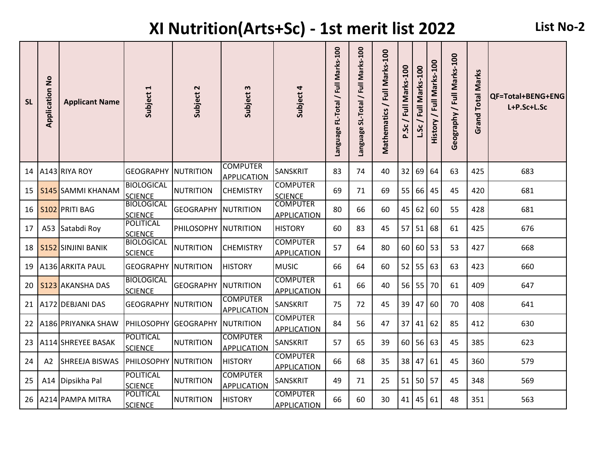## **XI Nutrition(Arts+Sc) - 1st merit list 2022 List No-2**

| <b>SL</b> | $\frac{1}{2}$<br>Application | <b>Applicant Name</b>     | $\blacktriangleleft$<br>Subject     | Subject 2        | $\boldsymbol{\omega}$<br>Subject      | Subject 4                             | Language FL-Total / Full Marks-100 | SL-Total / Full Marks-100<br><b>Panguage</b> | Mathematics / Full Marks-100 | / Full Marks-100<br>p.Sc | L.Sc/Full Marks-100 | History / Full Marks-100 | eography / Full Marks-100<br>O | <b>Total Marks</b><br>Grand | QF=Total+BENG+ENG<br>L+P.Sc+L.Sc |
|-----------|------------------------------|---------------------------|-------------------------------------|------------------|---------------------------------------|---------------------------------------|------------------------------------|----------------------------------------------|------------------------------|--------------------------|---------------------|--------------------------|--------------------------------|-----------------------------|----------------------------------|
| 14        |                              | A143 RIYA ROY             | <b>GEOGRAPHY</b>                    | NUTRITION        | <b>COMPUTER</b><br><b>APPLICATION</b> | <b>SANSKRIT</b>                       | 83                                 | 74                                           | 40                           | 32                       | 69                  | 64                       | 63                             | 425                         | 683                              |
| 15        |                              | <b>S145 SAMMI KHANAM</b>  | <b>BIOLOGICAL</b><br><b>SCIENCE</b> | <b>NUTRITION</b> | <b>CHEMISTRY</b>                      | <b>COMPUTER</b><br><b>SCIENCE</b>     | 69                                 | 71                                           | 69                           | 55                       | 66                  | 45                       | 45                             | 420                         | 681                              |
| 16        |                              | S102 PRITI BAG            | <b>BIOLOGICAL</b><br><b>SCIENCE</b> | <b>GEOGRAPHY</b> | <b>NUTRITION</b>                      | <b>COMPUTER</b><br><b>APPLICATION</b> | 80                                 | 66                                           | 60                           | 45                       | 62                  | 60                       | 55                             | 428                         | 681                              |
| 17        | A53                          | Satabdi Roy               | <b>POLITICAL</b><br><b>SCIENCE</b>  | PHILOSOPHY       | <b>INUTRITION</b>                     | <b>HISTORY</b>                        | 60                                 | 83                                           | 45                           | 57                       | 51                  | 68                       | 61                             | 425                         | 676                              |
| 18        |                              | <b>S152 SINJINI BANIK</b> | <b>BIOLOGICAL</b><br><b>SCIENCE</b> | <b>NUTRITION</b> | <b>CHEMISTRY</b>                      | <b>COMPUTER</b><br><b>APPLICATION</b> | 57                                 | 64                                           | 80                           |                          | 60 60 53            |                          | 53                             | 427                         | 668                              |
| 19        |                              | A136 ARKITA PAUL          | <b>GEOGRAPHY NUTRITION</b>          |                  | <b>HISTORY</b>                        | <b>MUSIC</b>                          | 66                                 | 64                                           | 60                           |                          | $52$ 55             | 63                       | 63                             | 423                         | 660                              |
| 20        |                              | <b>S123 AKANSHA DAS</b>   | <b>BIOLOGICAL</b><br><b>SCIENCE</b> | <b>GEOGRAPHY</b> | <b>NUTRITION</b>                      | <b>COMPUTER</b><br><b>APPLICATION</b> | 61                                 | 66                                           | 40                           |                          | $56$ 55             | 70                       | 61                             | 409                         | 647                              |
| 21        |                              | A172 DEBJANI DAS          | <b>GEOGRAPHY NUTRITION</b>          |                  | <b>COMPUTER</b><br><b>APPLICATION</b> | <b>SANSKRIT</b>                       | 75                                 | 72                                           | 45                           | 39                       | 47                  | 60                       | 70                             | 408                         | 641                              |
| 22        |                              | A186 PRIYANKA SHAW        | PHILOSOPHY GEOGRAPHY                |                  | <b>NUTRITION</b>                      | <b>COMPUTER</b><br><b>APPLICATION</b> | 84                                 | 56                                           | 47                           | 37                       | 41                  | 62                       | 85                             | 412                         | 630                              |
| 23        |                              | A114 SHREYEE BASAK        | POLITICAL<br><b>SCIENCE</b>         | <b>NUTRITION</b> | <b>COMPUTER</b><br><b>APPLICATION</b> | SANSKRIT                              | 57                                 | 65                                           | 39                           | 60 <sup>1</sup>          | 56                  | 63                       | 45                             | 385                         | 623                              |
| 24        | A2                           | SHREEJA BISWAS            | <b>PHILOSOPHY NUTRITION</b>         |                  | <b>HISTORY</b>                        | <b>COMPUTER</b><br><b>APPLICATION</b> | 66                                 | 68                                           | 35                           | 38 <sup>1</sup>          | 47                  | 61                       | 45                             | 360                         | 579                              |
| 25        | A14                          | Dipsikha Pal              | <b>POLITICAL</b><br><b>SCIENCE</b>  | <b>NUTRITION</b> | <b>COMPUTER</b><br><b>APPLICATION</b> | <b>SANSKRIT</b>                       | 49                                 | 71                                           | 25                           |                          | 51 50 57            |                          | 45                             | 348                         | 569                              |
| 26        |                              | A214 PAMPA MITRA          | <b>POLITICAL</b><br><b>SCIENCE</b>  | <b>NUTRITION</b> | <b>HISTORY</b>                        | <b>COMPUTER</b><br><b>APPLICATION</b> | 66                                 | 60                                           | 30                           |                          | $41$   45           | 61                       | 48                             | 351                         | 563                              |